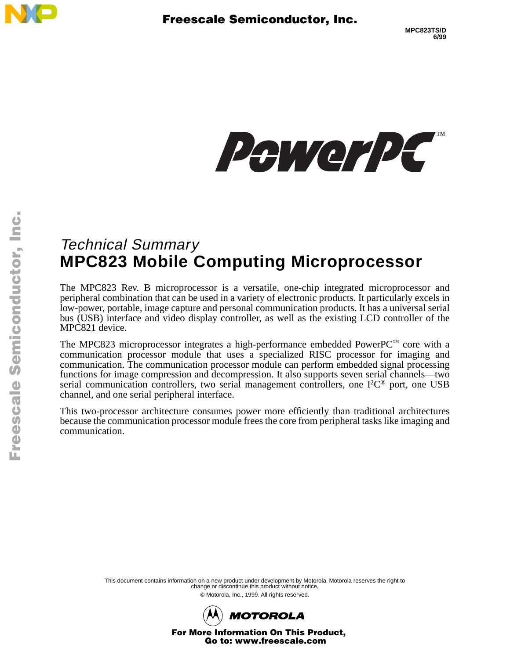



# Technical Summary **MPC823 Mobile Computing Microprocessor**

The MPC823 Rev. B microprocessor is a versatile, one-chip integrated microprocessor and peripheral combination that can be used in a variety of electronic products. It particularly excels in low-power, portable, image capture and personal communication products. It has a universal serial bus (USB) interface and video display controller, as well as the existing LCD controller of the MPC821 device.

The MPC823 microprocessor integrates a high-performance embedded PowerPC™ core with a communication processor module that uses a specialized RISC processor for imaging and communication. The communication processor module can perform embedded signal processing functions for image compression and decompression. It also supports seven serial channels—two serial communication controllers, two serial management controllers, one  $I^2C^{\circledast}$  port, one USB channel, and one serial peripheral interface.

This two-processor architecture consumes power more efficiently than traditional architectures because the communication processor module frees the core from peripheral tasks like imaging and communication.

> This document contains information on a new product under development by Motorola. Motorola reserves the right to change or discontinue this product without notice.

> > © Motorola, Inc., 1999. All rights reserved.



For More Information On This Product, Go to: www.freescale.com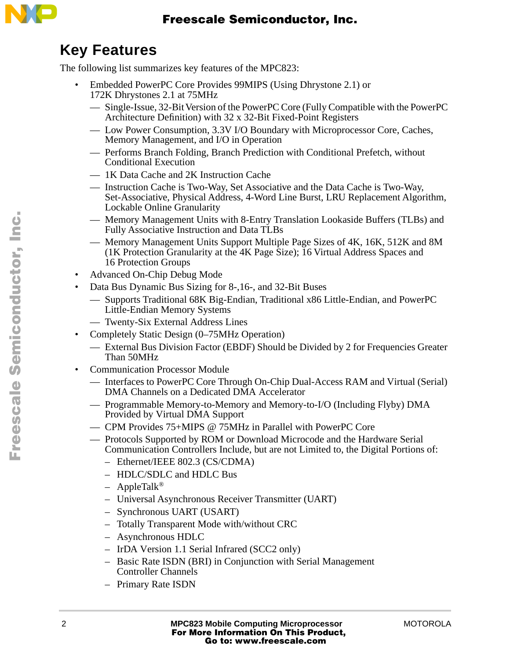

## **Key Features**

The following list summarizes key features of the MPC823:

- Embedded PowerPC Core Provides 99MIPS (Using Dhrystone 2.1) or 172K Dhrystones 2.1 at 75MHz
	- Single-Issue, 32-Bit Version of the PowerPC Core (Fully Compatible with the PowerPC Architecture Definition) with 32 x 32-Bit Fixed-Point Registers
	- Low Power Consumption, 3.3V I/O Boundary with Microprocessor Core, Caches, Memory Management, and I/O in Operation
	- Performs Branch Folding, Branch Prediction with Conditional Prefetch, without Conditional Execution
	- 1K Data Cache and 2K Instruction Cache
	- Instruction Cache is Two-Way, Set Associative and the Data Cache is Two-Way, Set-Associative, Physical Address, 4-Word Line Burst, LRU Replacement Algorithm, Lockable Online Granularity
	- Memory Management Units with 8-Entry Translation Lookaside Buffers (TLBs) and Fully Associative Instruction and Data TLBs
	- Memory Management Units Support Multiple Page Sizes of 4K, 16K, 512K and 8M (1K Protection Granularity at the 4K Page Size); 16 Virtual Address Spaces and 16 Protection Groups
- Advanced On-Chip Debug Mode
- Data Bus Dynamic Bus Sizing for 8-,16-, and 32-Bit Buses
	- Supports Traditional 68K Big-Endian, Traditional x86 Little-Endian, and PowerPC Little-Endian Memory Systems
	- Twenty-Six External Address Lines
- Completely Static Design (0–75MHz Operation)
	- External Bus Division Factor (EBDF) Should be Divided by 2 for Frequencies Greater Than 50MHz
- Communication Processor Module
	- Interfaces to PowerPC Core Through On-Chip Dual-Access RAM and Virtual (Serial) DMA Channels on a Dedicated DMA Accelerator
	- Programmable Memory-to-Memory and Memory-to-I/O (Including Flyby) DMA Provided by Virtual DMA Support
	- CPM Provides 75+MIPS @ 75MHz in Parallel with PowerPC Core
	- Protocols Supported by ROM or Download Microcode and the Hardware Serial Communication Controllers Include, but are not Limited to, the Digital Portions of:
		- Ethernet/IEEE 802.3 (CS/CDMA)
		- HDLC/SDLC and HDLC Bus
		- AppleTalk®
		- Universal Asynchronous Receiver Transmitter (UART)
		- Synchronous UART (USART)
		- Totally Transparent Mode with/without CRC
		- Asynchronous HDLC
		- IrDA Version 1.1 Serial Infrared (SCC2 only)
		- Basic Rate ISDN (BRI) in Conjunction with Serial Management Controller Channels
		- Primary Rate ISDN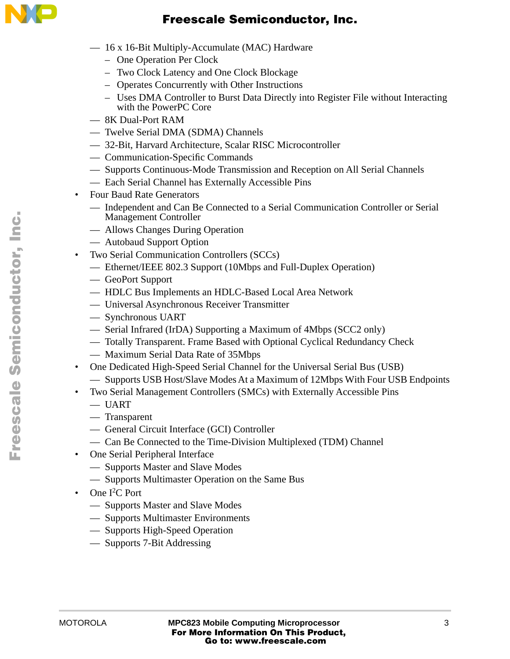

- 16 x 16-Bit Multiply-Accumulate (MAC) Hardware
	- One Operation Per Clock
	- Two Clock Latency and One Clock Blockage
	- Operates Concurrently with Other Instructions
	- Uses DMA Controller to Burst Data Directly into Register File without Interacting with the PowerPC Core
- 8K Dual-Port RAM
- Twelve Serial DMA (SDMA) Channels
- 32-Bit, Harvard Architecture, Scalar RISC Microcontroller
- Communication-Specific Commands
- Supports Continuous-Mode Transmission and Reception on All Serial Channels
- Each Serial Channel has Externally Accessible Pins
- Four Baud Rate Generators
	- Independent and Can Be Connected to a Serial Communication Controller or Serial Management Controller
	- Allows Changes During Operation
	- Autobaud Support Option
- Two Serial Communication Controllers (SCCs)
	- Ethernet/IEEE 802.3 Support (10Mbps and Full-Duplex Operation)
	- GeoPort Support
	- HDLC Bus Implements an HDLC-Based Local Area Network
	- Universal Asynchronous Receiver Transmitter
	- Synchronous UART
	- Serial Infrared (IrDA) Supporting a Maximum of 4Mbps (SCC2 only)
	- Totally Transparent. Frame Based with Optional Cyclical Redundancy Check
	- Maximum Serial Data Rate of 35Mbps
- One Dedicated High-Speed Serial Channel for the Universal Serial Bus (USB)
	- Supports USB Host/Slave Modes At a Maximum of 12Mbps With Four USB Endpoints
- Two Serial Management Controllers (SMCs) with Externally Accessible Pins
	- UART
	- Transparent
	- General Circuit Interface (GCI) Controller
	- Can Be Connected to the Time-Division Multiplexed (TDM) Channel
- One Serial Peripheral Interface
	- Supports Master and Slave Modes
	- Supports Multimaster Operation on the Same Bus
- One I<sup>2</sup>C Port
	- Supports Master and Slave Modes
	- Supports Multimaster Environments
	- Supports High-Speed Operation
	- Supports 7-Bit Addressing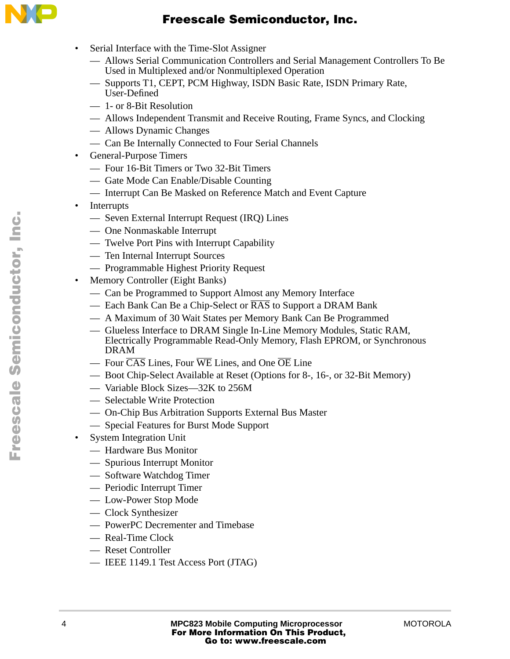

- Serial Interface with the Time-Slot Assigner
	- Allows Serial Communication Controllers and Serial Management Controllers To Be Used in Multiplexed and/or Nonmultiplexed Operation
	- Supports T1, CEPT, PCM Highway, ISDN Basic Rate, ISDN Primary Rate, User-Defined
	- 1- or 8-Bit Resolution
	- Allows Independent Transmit and Receive Routing, Frame Syncs, and Clocking
	- Allows Dynamic Changes
	- Can Be Internally Connected to Four Serial Channels
- General-Purpose Timers
	- Four 16-Bit Timers or Two 32-Bit Timers
	- Gate Mode Can Enable/Disable Counting
	- Interrupt Can Be Masked on Reference Match and Event Capture
- Interrupts
	- Seven External Interrupt Request (IRQ) Lines
	- One Nonmaskable Interrupt
	- Twelve Port Pins with Interrupt Capability
	- Ten Internal Interrupt Sources
	- Programmable Highest Priority Request
- Memory Controller (Eight Banks)
	- Can be Programmed to Support Almost any Memory Interface
	- Each Bank Can Be a Chip-Select or  $\overline{RAS}$  to Support a DRAM Bank
	- A Maximum of 30 Wait States per Memory Bank Can Be Programmed
	- Glueless Interface to DRAM Single In-Line Memory Modules, Static RAM, Electrically Programmable Read-Only Memory, Flash EPROM, or Synchronous DRAM
	- $-$  Four  $\overline{CAS}$  Lines, Four  $\overline{WE}$  Lines, and One  $\overline{OE}$  Line
	- Boot Chip-Select Available at Reset (Options for 8-, 16-, or 32-Bit Memory)
	- Variable Block Sizes—32K to 256M
	- Selectable Write Protection
	- On-Chip Bus Arbitration Supports External Bus Master
	- Special Features for Burst Mode Support
- **System Integration Unit** 
	- Hardware Bus Monitor
	- Spurious Interrupt Monitor
	- Software Watchdog Timer
	- Periodic Interrupt Timer
	- Low-Power Stop Mode
	- Clock Synthesizer
	- PowerPC Decrementer and Timebase
	- Real-Time Clock
	- Reset Controller
	- IEEE 1149.1 Test Access Port (JTAG)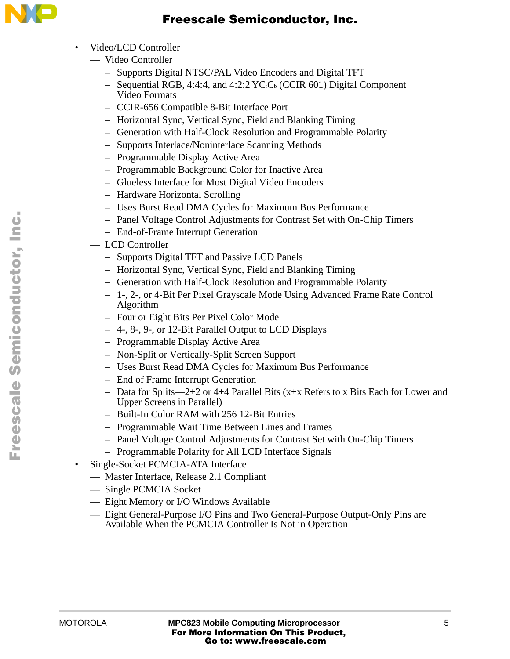

- Video/LCD Controller
	- Video Controller
		- Supports Digital NTSC/PAL Video Encoders and Digital TFT
		- Sequential RGB, 4:4:4, and 4:2:2  $YC<sub>c</sub>C<sub>b</sub>$  (CCIR 601) Digital Component Video Formats
		- CCIR-656 Compatible 8-Bit Interface Port
		- Horizontal Sync, Vertical Sync, Field and Blanking Timing
		- Generation with Half-Clock Resolution and Programmable Polarity
		- Supports Interlace/Noninterlace Scanning Methods
		- Programmable Display Active Area
		- Programmable Background Color for Inactive Area
		- Glueless Interface for Most Digital Video Encoders
		- Hardware Horizontal Scrolling
		- Uses Burst Read DMA Cycles for Maximum Bus Performance
		- Panel Voltage Control Adjustments for Contrast Set with On-Chip Timers
		- End-of-Frame Interrupt Generation
- LCD Controller
	- Supports Digital TFT and Passive LCD Panels
	- Horizontal Sync, Vertical Sync, Field and Blanking Timing
	- Generation with Half-Clock Resolution and Programmable Polarity
	- 1-, 2-, or 4-Bit Per Pixel Grayscale Mode Using Advanced Frame Rate Control Algorithm
	- Four or Eight Bits Per Pixel Color Mode
	- 4-, 8-, 9-, or 12-Bit Parallel Output to LCD Displays
	- Programmable Display Active Area
	- Non-Split or Vertically-Split Screen Support
	- Uses Burst Read DMA Cycles for Maximum Bus Performance
	- End of Frame Interrupt Generation
	- Data for Splits—2+2 or 4+4 Parallel Bits (x+x Refers to x Bits Each for Lower and Upper Screens in Parallel)
	- Built-In Color RAM with 256 12-Bit Entries
	- Programmable Wait Time Between Lines and Frames
	- Panel Voltage Control Adjustments for Contrast Set with On-Chip Timers
	- Programmable Polarity for All LCD Interface Signals
- Single-Socket PCMCIA-ATA Interface
	- Master Interface, Release 2.1 Compliant
	- Single PCMCIA Socket
	- Eight Memory or I/O Windows Available
	- Eight General-Purpose I/O Pins and Two General-Purpose Output-Only Pins are Available When the PCMCIA Controller Is Not in Operation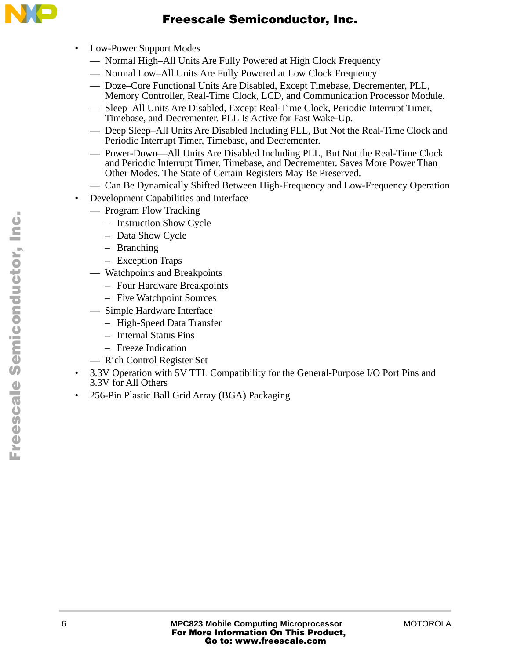

- Low-Power Support Modes
	- Normal High–All Units Are Fully Powered at High Clock Frequency
	- Normal Low–All Units Are Fully Powered at Low Clock Frequency
	- Doze–Core Functional Units Are Disabled, Except Timebase, Decrementer, PLL, Memory Controller, Real-Time Clock, LCD, and Communication Processor Module.
	- Sleep–All Units Are Disabled, Except Real-Time Clock, Periodic Interrupt Timer, Timebase, and Decrementer. PLL Is Active for Fast Wake-Up.
	- Deep Sleep–All Units Are Disabled Including PLL, But Not the Real-Time Clock and Periodic Interrupt Timer, Timebase, and Decrementer.
	- Power-Down—All Units Are Disabled Including PLL, But Not the Real-Time Clock and Periodic Interrupt Timer, Timebase, and Decrementer. Saves More Power Than Other Modes. The State of Certain Registers May Be Preserved.
	- Can Be Dynamically Shifted Between High-Frequency and Low-Frequency Operation
- Development Capabilities and Interface
	- Program Flow Tracking
		- Instruction Show Cycle
		- Data Show Cycle
		- Branching
		- Exception Traps
	- Watchpoints and Breakpoints
		- Four Hardware Breakpoints
		- Five Watchpoint Sources
	- Simple Hardware Interface
		- High-Speed Data Transfer
		- Internal Status Pins
		- Freeze Indication
		- Rich Control Register Set
- 3.3V Operation with 5V TTL Compatibility for the General-Purpose I/O Port Pins and 3.3V for All Others
- 256-Pin Plastic Ball Grid Array (BGA) Packaging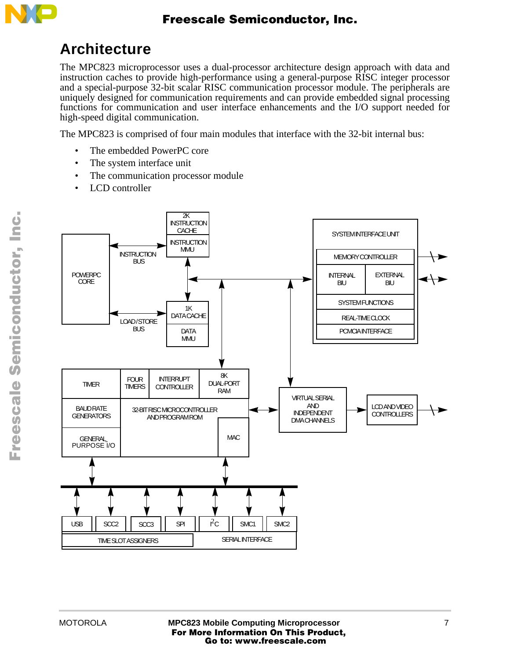

## **Architecture**

The MPC823 microprocessor uses a dual-processor architecture design approach with data and instruction caches to provide high-performance using a general-purpose RISC integer processor and a special-purpose 32-bit scalar RISC communication processor module. The peripherals are uniquely designed for communication requirements and can provide embedded signal processing functions for communication and user interface enhancements and the I/O support needed for high-speed digital communication.

The MPC823 is comprised of four main modules that interface with the 32-bit internal bus:

- The embedded PowerPC core
- The system interface unit
- The communication processor module
- LCD controller



.<br>ق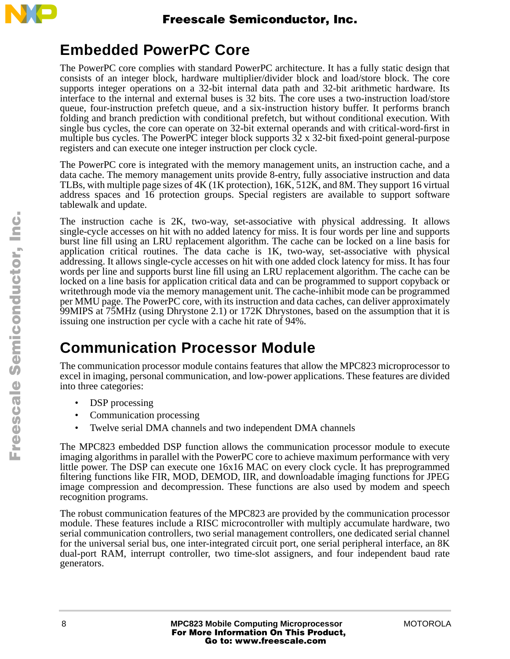

## **Embedded PowerPC Core**

The PowerPC core complies with standard PowerPC architecture. It has a fully static design that consists of an integer block, hardware multiplier/divider block and load/store block. The core supports integer operations on a 32-bit internal data path and 32-bit arithmetic hardware. Its interface to the internal and external buses is 32 bits. The core uses a two-instruction load/store queue, four-instruction prefetch queue, and a six-instruction history buffer. It performs branch folding and branch prediction with conditional prefetch, but without conditional execution. With single bus cycles, the core can operate on 32-bit external operands and with critical-word-first in multiple bus cycles. The PowerPC integer block supports 32 x 32-bit fixed-point general-purpose registers and can execute one integer instruction per clock cycle.

The PowerPC core is integrated with the memory management units, an instruction cache, and a data cache. The memory management units provide 8-entry, fully associative instruction and data TLBs, with multiple page sizes of 4K (1K protection), 16K, 512K, and 8M. They support 16 virtual address spaces and 16 protection groups. Special registers are available to support software tablewalk and update.

The instruction cache is 2K, two-way, set-associative with physical addressing. It allows single-cycle accesses on hit with no added latency for miss. It is four words per line and supports burst line fill using an LRU replacement algorithm. The cache can be locked on a line basis for application critical routines. The data cache is 1K, two-way, set-associative with physical addressing. It allows single-cycle accesses on hit with one added clock latency for miss. It has four words per line and supports burst line fill using an LRU replacement algorithm. The cache can be locked on a line basis for application critical data and can be programmed to support copyback or writethrough mode via the memory management unit. The cache-inhibit mode can be programmed per MMU page. The PowerPC core, with its instruction and data caches, can deliver approximately 99MIPS at 75MHz (using Dhrystone 2.1) or 172K Dhrystones, based on the assumption that it is issuing one instruction per cycle with a cache hit rate of 94%.

# **Communication Processor Module**

The communication processor module contains features that allow the MPC823 microprocessor to excel in imaging, personal communication, and low-power applications. These features are divided into three categories:

- DSP processing
- Communication processing
- Twelve serial DMA channels and two independent DMA channels

The MPC823 embedded DSP function allows the communication processor module to execute imaging algorithms in parallel with the PowerPC core to achieve maximum performance with very little power. The DSP can execute one 16x16 MAC on every clock cycle. It has preprogrammed filtering functions like FIR, MOD, DEMOD, IIR, and downloadable imaging functions for JPEG image compression and decompression. These functions are also used by modem and speech recognition programs.

The robust communication features of the MPC823 are provided by the communication processor module. These features include a RISC microcontroller with multiply accumulate hardware, two serial communication controllers, two serial management controllers, one dedicated serial channel for the universal serial bus, one inter-integrated circuit port, one serial peripheral interface, an 8K dual-port RAM, interrupt controller, two time-slot assigners, and four independent baud rate generators.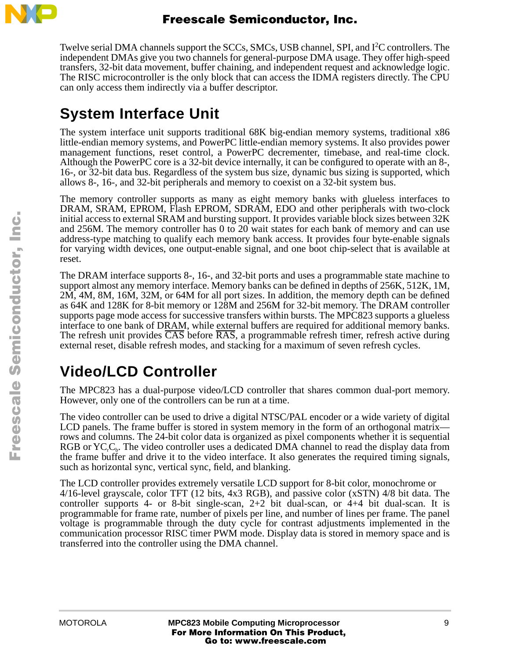

Twelve serial DMA channels support the SCCs, SMCs, USB channel, SPI, and I<sup>2</sup>C controllers. The independent DMAs give you two channels for general-purpose DMA usage. They offer high-speed transfers, 32-bit data movement, buffer chaining, and independent request and acknowledge logic. The RISC microcontroller is the only block that can access the IDMA registers directly. The CPU can only access them indirectly via a buffer descriptor.

## **System Interface Unit**

The system interface unit supports traditional 68K big-endian memory systems, traditional x86 little-endian memory systems, and PowerPC little-endian memory systems. It also provides power management functions, reset control, a PowerPC decrementer, timebase, and real-time clock. Although the PowerPC core is a 32-bit device internally, it can be configured to operate with an 8-, 16-, or 32-bit data bus. Regardless of the system bus size, dynamic bus sizing is supported, which allows 8-, 16-, and 32-bit peripherals and memory to coexist on a 32-bit system bus.

The memory controller supports as many as eight memory banks with glueless interfaces to DRAM, SRAM, EPROM, Flash EPROM, SDRAM, EDO and other peripherals with two-clock initial access to external SRAM and bursting support. It provides variable block sizes between 32K and 256M. The memory controller has 0 to 20 wait states for each bank of memory and can use address-type matching to qualify each memory bank access. It provides four byte-enable signals for varying width devices, one output-enable signal, and one boot chip-select that is available at reset.

The DRAM interface supports 8-, 16-, and 32-bit ports and uses a programmable state machine to support almost any memory interface. Memory banks can be defined in depths of 256K, 512K, 1M, 2M, 4M, 8M, 16M, 32M, or 64M for all port sizes. In addition, the memory depth can be defined as 64K and 128K for 8-bit memory or 128M and 256M for 32-bit memory. The DRAM controller supports page mode access for successive transfers within bursts. The MPC823 supports a glueless interface to one bank of DRAM, while external buffers are required for additional memory banks. The refresh unit provides CAS before RAS, a programmable refresh timer, refresh active during external reset, disable refresh modes, and stacking for a maximum of seven refresh cycles.

# **Video/LCD Controller**

The MPC823 has a dual-purpose video/LCD controller that shares common dual-port memory. However, only one of the controllers can be run at a time.

The video controller can be used to drive a digital NTSC/PAL encoder or a wide variety of digital LCD panels. The frame buffer is stored in system memory in the form of an orthogonal matrix rows and columns. The 24-bit color data is organized as pixel components whether it is sequential RGB or  $YC<sub>c</sub>$ , The video controller uses a dedicated DMA channel to read the display data from the frame buffer and drive it to the video interface. It also generates the required timing signals, such as horizontal sync, vertical sync, field, and blanking.

The LCD controller provides extremely versatile LCD support for 8-bit color, monochrome or 4/16-level grayscale, color TFT (12 bits, 4x3 RGB), and passive color (xSTN) 4/8 bit data. The controller supports 4- or 8-bit single-scan,  $2+2$  bit dual-scan, or  $4+4$  bit dual-scan. It is programmable for frame rate, number of pixels per line, and number of lines per frame. The panel voltage is programmable through the duty cycle for contrast adjustments implemented in the communication processor RISC timer PWM mode. Display data is stored in memory space and is transferred into the controller using the DMA channel.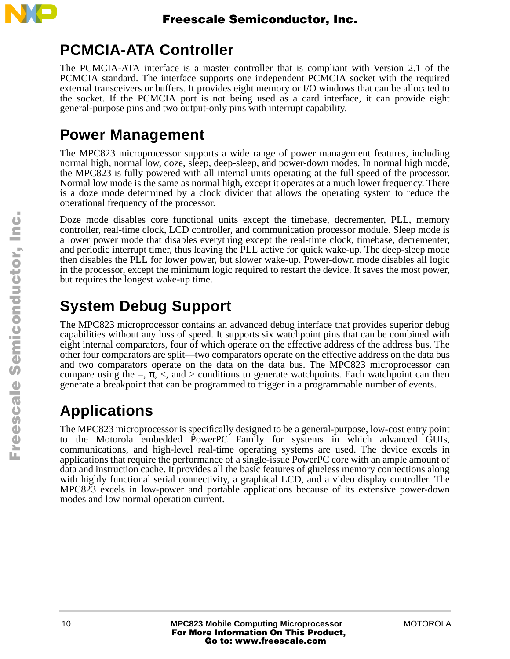

## **PCMCIA-ATA Controller**

The PCMCIA-ATA interface is a master controller that is compliant with Version 2.1 of the PCMCIA standard. The interface supports one independent PCMCIA socket with the required external transceivers or buffers. It provides eight memory or I/O windows that can be allocated to the socket. If the PCMCIA port is not being used as a card interface, it can provide eight general-purpose pins and two output-only pins with interrupt capability.

## **Power Management**

The MPC823 microprocessor supports a wide range of power management features, including normal high, normal low, doze, sleep, deep-sleep, and power-down modes. In normal high mode, the MPC823 is fully powered with all internal units operating at the full speed of the processor. Normal low mode is the same as normal high, except it operates at a much lower frequency. There is a doze mode determined by a clock divider that allows the operating system to reduce the operational frequency of the processor.

Doze mode disables core functional units except the timebase, decrementer, PLL, memory controller, real-time clock, LCD controller, and communication processor module. Sleep mode is a lower power mode that disables everything except the real-time clock, timebase, decrementer, and periodic interrupt timer, thus leaving the PLL active for quick wake-up. The deep-sleep mode then disables the PLL for lower power, but slower wake-up. Power-down mode disables all logic in the processor, except the minimum logic required to restart the device. It saves the most power, but requires the longest wake-up time.

# **System Debug Support**

The MPC823 microprocessor contains an advanced debug interface that provides superior debug capabilities without any loss of speed. It supports six watchpoint pins that can be combined with eight internal comparators, four of which operate on the effective address of the address bus. The other four comparators are split—two comparators operate on the effective address on the data bus and two comparators operate on the data on the data bus. The MPC823 microprocessor can compare using the  $=$ ,  $\pi$ ,  $\lt$ , and  $>$  conditions to generate watchpoints. Each watchpoint can then generate a breakpoint that can be programmed to trigger in a programmable number of events.

# **Applications**

The MPC823 microprocessor is specifically designed to be a general-purpose, low-cost entry point to the Motorola embedded PowerPC Family for systems in which advanced GUIs, communications, and high-level real-time operating systems are used. The device excels in applications that require the performance of a single-issue PowerPC core with an ample amount of data and instruction cache. It provides all the basic features of glueless memory connections along with highly functional serial connectivity, a graphical LCD, and a video display controller. The MPC823 excels in low-power and portable applications because of its extensive power-down modes and low normal operation current.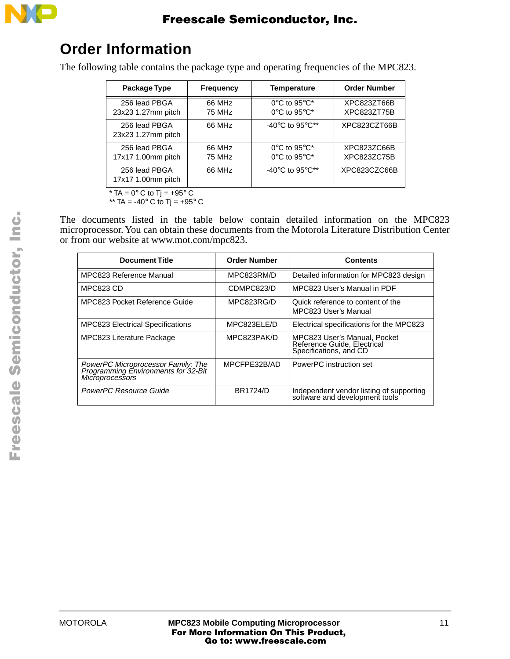

## **Order Information**

The following table contains the package type and operating frequencies of the MPC823.

| Package Type                        | <b>Frequency</b> | <b>Temperature</b>                                                                             | <b>Order Number</b>        |
|-------------------------------------|------------------|------------------------------------------------------------------------------------------------|----------------------------|
| 256 lead PBGA<br>23x23 1.27mm pitch | 66 MHz<br>75 MHz | $0^{\circ}$ C to 95 $^{\circ}$ C*<br>$0^{\circ}$ C to 95 $^{\circ}$ C*                         | XPC823ZT66B<br>XPC823ZT75B |
| 256 lead PBGA<br>23x23 1.27mm pitch | 66 MHz           | -40 $^{\circ}$ C to 95 $^{\circ}$ C**                                                          | XPC823CZT66B               |
| 256 lead PBGA<br>17x17 1.00mm pitch | 66 MHz<br>75 MHz | $0^{\circ}$ C to 95 $^{\circ}$ C <sup>*</sup><br>$0^{\circ}$ C to 95 $^{\circ}$ C <sup>*</sup> | XPC823ZC66B<br>XPC823ZC75B |
| 256 lead PBGA<br>17x17 1.00mm pitch | 66 MHz           | -40 $^{\circ}$ C to 95 $^{\circ}$ C**                                                          | XPC823CZC66B               |

 $*$  TA = 0 $\degree$  C to Tj = +95 $\degree$  C

\*\* TA = -40° C to Tj = +95° C

The documents listed in the table below contain detailed information on the MPC823 microprocessor. You can obtain these documents from the Motorola Literature Distribution Center or from our website at www.mot.com/mpc823.

| <b>Document Title</b>                                                                               | <b>Order Number</b> | Contents                                                                              |
|-----------------------------------------------------------------------------------------------------|---------------------|---------------------------------------------------------------------------------------|
| MPC823 Reference Manual                                                                             | MPC823RM/D          | Detailed information for MPC823 design                                                |
| <b>MPC823 CD</b>                                                                                    | CDMPC823/D          | MPC823 User's Manual in PDF                                                           |
| MPC823 Pocket Reference Guide                                                                       | MPC823RG/D          | Quick reference to content of the<br>MPC823 User's Manual                             |
| <b>MPC823 Electrical Specifications</b>                                                             | MPC823ELE/D         | Electrical specifications for the MPC823                                              |
| MPC823 Literature Package                                                                           | MPC823PAK/D         | MPC823 User's Manual, Pocket<br>Reference Guide, Electrical<br>Specifications, and CD |
| PowerPC Microprocessor Family: The<br>Programming Environments for 32-Bit<br><b>Microprocessors</b> | MPCFPE32B/AD        | PowerPC instruction set                                                               |
| PowerPC Resource Guide                                                                              | <b>BR1724/D</b>     | Independent vendor listing of supporting<br>software and development tools            |

F